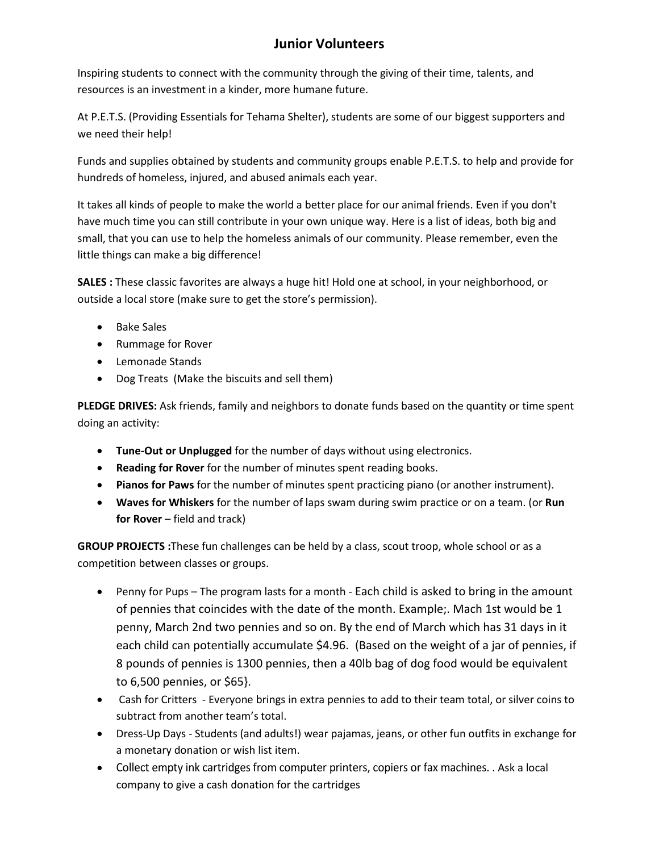## **Junior Volunteers**

Inspiring students to connect with the community through the giving of their time, talents, and resources is an investment in a kinder, more humane future.

At P.E.T.S. (Providing Essentials for Tehama Shelter), students are some of our biggest supporters and we need their help!

Funds and supplies obtained by students and community groups enable P.E.T.S. to help and provide for hundreds of homeless, injured, and abused animals each year.

It takes all kinds of people to make the world a better place for our animal friends. Even if you don't have much time you can still contribute in your own unique way. Here is a list of ideas, both big and small, that you can use to help the homeless animals of our community. Please remember, even the little things can make a big difference!

**SALES :** These classic favorites are always a huge hit! Hold one at school, in your neighborhood, or outside a local store (make sure to get the store's permission).

- Bake Sales
- Rummage for Rover
- Lemonade Stands
- Dog Treats (Make the biscuits and sell them)

**PLEDGE DRIVES:** Ask friends, family and neighbors to donate funds based on the quantity or time spent doing an activity:

- **Tune-Out or Unplugged** for the number of days without using electronics.
- **Reading for Rover** for the number of minutes spent reading books.
- **Pianos for Paws** for the number of minutes spent practicing piano (or another instrument).
- **Waves for Whiskers** for the number of laps swam during swim practice or on a team. (or **Run for Rover** – field and track)

**GROUP PROJECTS :**These fun challenges can be held by a class, scout troop, whole school or as a competition between classes or groups.

- Penny for Pups The program lasts for a month Each child is asked to bring in the amount of pennies that coincides with the date of the month. Example;. Mach 1st would be 1 penny, March 2nd two pennies and so on. By the end of March which has 31 days in it each child can potentially accumulate \$4.96. (Based on the weight of a jar of pennies, if 8 pounds of pennies is 1300 pennies, then a 40lb bag of dog food would be equivalent to 6,500 pennies, or \$65}.
- Cash for Critters Everyone brings in extra pennies to add to their team total, or silver coins to subtract from another team's total.
- Dress-Up Days Students (and adults!) wear pajamas, jeans, or other fun outfits in exchange for a monetary donation or wish list item.
- Collect empty ink cartridges from computer printers, copiers or fax machines. . Ask a local company to give a cash donation for the cartridges